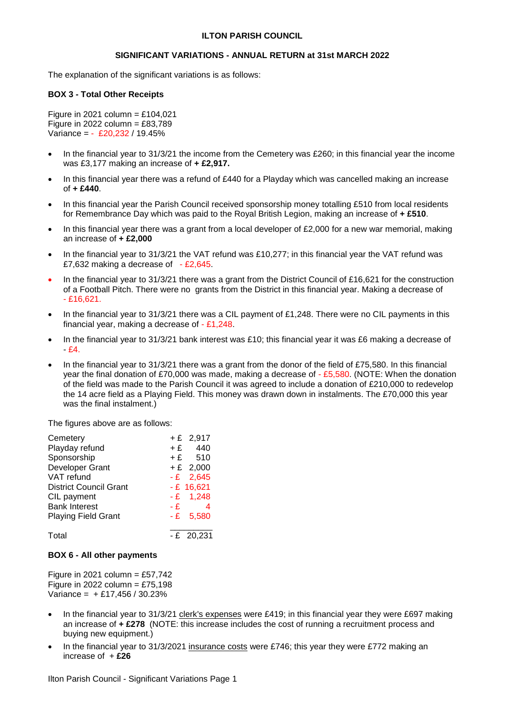# **ILTON PARISH COUNCIL**

# **SIGNIFICANT VARIATIONS - ANNUAL RETURN at 31st MARCH 2022**

The explanation of the significant variations is as follows:

## **BOX 3 - Total Other Receipts**

Figure in 2021 column =  $£104,021$ Figure in 2022 column =  $£83,789$ Variance = - £20,232 / 19.45%

- In the financial year to 31/3/21 the income from the Cemetery was £260; in this financial year the income was £3,177 making an increase of **+ £2,917.**
- In this financial year there was a refund of £440 for a Playday which was cancelled making an increase of **+ £440**.
- In this financial year the Parish Council received sponsorship money totalling £510 from local residents for Remembrance Day which was paid to the Royal British Legion, making an increase of **+ £510**.
- In this financial year there was a grant from a local developer of £2,000 for a new war memorial, making an increase of **+ £2,000**
- In the financial year to 31/3/21 the VAT refund was £10,277; in this financial year the VAT refund was £7,632 making a decrease of - £2,645.
- In the financial year to 31/3/21 there was a grant from the District Council of £16,621 for the construction of a Football Pitch. There were no grants from the District in this financial year. Making a decrease of - £16,621.
- In the financial year to 31/3/21 there was a CIL payment of £1,248. There were no CIL payments in this financial year, making a decrease of  $-51,248$ .
- In the financial year to 31/3/21 bank interest was £10; this financial year it was £6 making a decrease of - £4.
- In the financial year to 31/3/21 there was a grant from the donor of the field of £75,580. In this financial year the final donation of £70,000 was made, making a decrease of - £5,580. (NOTE: When the donation of the field was made to the Parish Council it was agreed to include a donation of £210,000 to redevelop the 14 acre field as a Playing Field. This money was drawn down in instalments. The £70,000 this year was the final instalment.)

The figures above are as follows:

| Cemetery                      |      | $+E$ 2,917     |
|-------------------------------|------|----------------|
| Playday refund                |      | $+ E$ 440      |
| Sponsorship                   |      | $+£$ 510       |
| Developer Grant               |      | $+ E$ 2,000    |
| VAT refund                    |      | $-E$ 2,645     |
| <b>District Council Grant</b> |      | $-E$ 16,621    |
| CIL payment                   |      | $-E$ 1,248     |
| <b>Bank Interest</b>          | $-E$ | $\overline{4}$ |
| <b>Playing Field Grant</b>    |      | $-E$ 5.580     |
| Total                         |      | $-E$ 20,231    |

#### **BOX 6 - All other payments**

Figure in 2021 column = £57,742 Figure in 2022 column =  $£75,198$ Variance =  $+ £17,456 / 30.23%$ 

- In the financial year to  $31/3/21$  clerk's expenses were £419; in this financial year they were £697 making an increase of **+ £278** (NOTE: this increase includes the cost of running a recruitment process and buying new equipment.)
- In the financial year to 31/3/2021 insurance costs were £746; this year they were £772 making an increase of + **£26**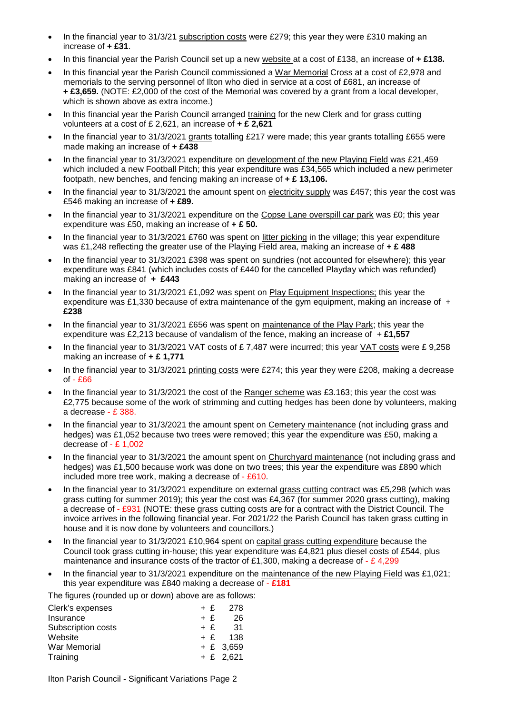- In the financial year to 31/3/21 subscription costs were £279; this year they were £310 making an increase of **+ £31**.
- In this financial year the Parish Council set up a new website at a cost of £138, an increase of **+ £138.**
- In this financial year the Parish Council commissioned a War Memorial Cross at a cost of £2,978 and memorials to the serving personnel of Ilton who died in service at a cost of £681, an increase of **+ £3,659.** (NOTE: £2,000 of the cost of the Memorial was covered by a grant from a local developer, which is shown above as extra income.)
- In this financial year the Parish Council arranged training for the new Clerk and for grass cutting volunteers at a cost of £ 2,621, an increase of **+ £ 2,621**
- In the financial year to 31/3/2021 grants totalling £217 were made; this year grants totalling £655 were made making an increase of **+ £438**
- In the financial year to 31/3/2021 expenditure on development of the new Playing Field was £21,459 which included a new Football Pitch; this year expenditure was £34,565 which included a new perimeter footpath, new benches, and fencing making an increase of **+ £ 13,106.**
- In the financial year to 31/3/2021 the amount spent on electricity supply was £457; this year the cost was £546 making an increase of **+ £89.**
- In the financial year to 31/3/2021 expenditure on the Copse Lane overspill car park was £0; this year expenditure was £50, making an increase of **+ £ 50.**
- In the financial year to 31/3/2021 £760 was spent on litter picking in the village; this year expenditure was £1,248 reflecting the greater use of the Playing Field area, making an increase of **+ £ 488**
- In the financial year to 31/3/2021 £398 was spent on sundries (not accounted for elsewhere); this year expenditure was £841 (which includes costs of £440 for the cancelled Playday which was refunded) making an increase of **+ £443**
- In the financial year to 31/3/2021 £1,092 was spent on Play Equipment Inspections; this year the expenditure was £1,330 because of extra maintenance of the gym equipment, making an increase of + **£238**
- In the financial year to 31/3/2021 £656 was spent on maintenance of the Play Park; this year the expenditure was £2,213 because of vandalism of the fence, making an increase of + **£1,557**
- In the financial year to 31/3/2021 VAT costs of £ 7,487 were incurred; this year VAT costs were £ 9,258 making an increase of **+ £ 1,771**
- In the financial year to 31/3/2021 printing costs were £274; this year they were £208, making a decrease of - £66
- In the financial year to 31/3/2021 the cost of the Ranger scheme was £3.163; this year the cost was £2,775 because some of the work of strimming and cutting hedges has been done by volunteers, making a decrease - £ 388.
- In the financial year to 31/3/2021 the amount spent on Cemetery maintenance (not including grass and hedges) was £1,052 because two trees were removed; this year the expenditure was £50, making a decrease of - £ 1,002
- In the financial year to 31/3/2021 the amount spent on Churchyard maintenance (not including grass and hedges) was £1,500 because work was done on two trees; this year the expenditure was £890 which included more tree work, making a decrease of - £610.
- In the financial year to 31/3/2021 expenditure on external grass cutting contract was £5,298 (which was grass cutting for summer 2019); this year the cost was £4,367 (for summer 2020 grass cutting), making a decrease of - £931 (NOTE: these grass cutting costs are for a contract with the District Council. The invoice arrives in the following financial year. For 2021/22 the Parish Council has taken grass cutting in house and it is now done by volunteers and councillors.)
- In the financial year to 31/3/2021 £10,964 spent on capital grass cutting expenditure because the Council took grass cutting in-house; this year expenditure was £4,821 plus diesel costs of £544, plus maintenance and insurance costs of the tractor of £1,300, making a decrease of  $-$  £4,299
- In the financial year to 31/3/2021 expenditure on the maintenance of the new Playing Field was £1,021; this year expenditure was £840 making a decrease of - **£181**

The figures (rounded up or down) above are as follows:

|  | + £ 278     |
|--|-------------|
|  | 26          |
|  | $+ f$ 31    |
|  | $+ f$ 138   |
|  | $+ E$ 3.659 |
|  | $+ f 2,621$ |
|  | $+$ £       |

Ilton Parish Council - Significant Variations Page 2